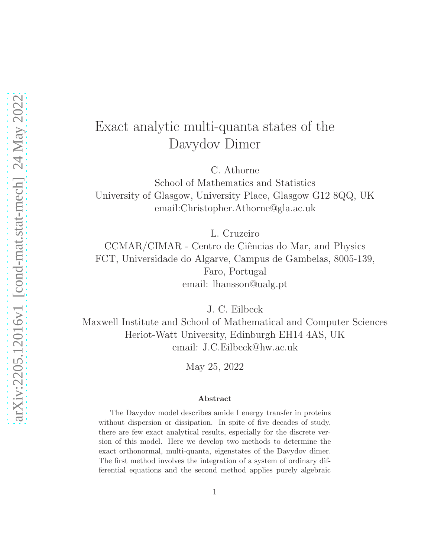# Exact analytic multi-quanta states of the Davydov Dimer

C. Athorne School of Mathematics and Statistics University of Glasgow, University Place, Glasgow G12 8QQ, UK email:Christopher.Athorne@gla.ac.uk

L. Cruzeiro

CCMAR/CIMAR - Centro de Ciências do Mar, and Physics FCT, Universidade do Algarve, Campus de Gambelas, 8005-139, Faro, Portugal email: lhansson@ualg.pt

J. C. Eilbeck

Maxwell Institute and School of Mathematical and Computer Sciences Heriot-Watt University, Edinburgh EH14 4AS, UK email: J.C.Eilbeck@hw.ac.uk

May 25, 2022

#### Abstract

The Davydov model describes amide I energy transfer in proteins without dispersion or dissipation. In spite of five decades of study, there are few exact analytical results, especially for the discrete version of this model. Here we develop two methods to determine the exact orthonormal, multi-quanta, eigenstates of the Davydov dimer. The first method involves the integration of a system of ordinary differential equations and the second method applies purely algebraic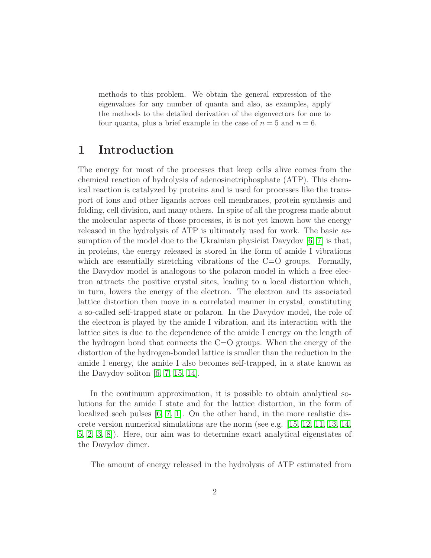methods to this problem. We obtain the general expression of the eigenvalues for any number of quanta and also, as examples, apply the methods to the detailed derivation of the eigenvectors for one to four quanta, plus a brief example in the case of  $n = 5$  and  $n = 6$ .

## 1 Introduction

The energy for most of the processes that keep cells alive comes from the chemical reaction of hydrolysis of adenosinetriphosphate (ATP). This chemical reaction is catalyzed by proteins and is used for processes like the transport of ions and other ligands across cell membranes, protein synthesis and folding, cell division, and many others. In spite of all the progress made about the molecular aspects of those processes, it is not yet known how the energy released in the hydrolysis of ATP is ultimately used for work. The basic assumption of the model due to the Ukrainian physicist Davydov [\[6,](#page-18-0) [7\]](#page-18-1) is that, in proteins, the energy released is stored in the form of amide I vibrations which are essentially stretching vibrations of the  $C=O$  groups. Formally, the Davydov model is analogous to the polaron model in which a free electron attracts the positive crystal sites, leading to a local distortion which, in turn, lowers the energy of the electron. The electron and its associated lattice distortion then move in a correlated manner in crystal, constituting a so-called self-trapped state or polaron. In the Davydov model, the role of the electron is played by the amide I vibration, and its interaction with the lattice sites is due to the dependence of the amide I energy on the length of the hydrogen bond that connects the  $C=O$  groups. When the energy of the distortion of the hydrogen-bonded lattice is smaller than the reduction in the amide I energy, the amide I also becomes self-trapped, in a state known as the Davydov soliton [\[6,](#page-18-0) [7,](#page-18-1) [15,](#page-19-0) [14\]](#page-19-1).

In the continuum approximation, it is possible to obtain analytical solutions for the amide I state and for the lattice distortion, in the form of localized sech pulses [\[6,](#page-18-0) [7,](#page-18-1) [1\]](#page-18-2). On the other hand, in the more realistic discrete version numerical simulations are the norm (see e.g. [\[15,](#page-19-0) [12,](#page-19-2) [11,](#page-19-3) [13,](#page-19-4) [14,](#page-19-1) [5,](#page-18-3) [2,](#page-18-4) [3,](#page-18-5) [8\]](#page-18-6)). Here, our aim was to determine exact analytical eigenstates of the Davydov dimer.

The amount of energy released in the hydrolysis of ATP estimated from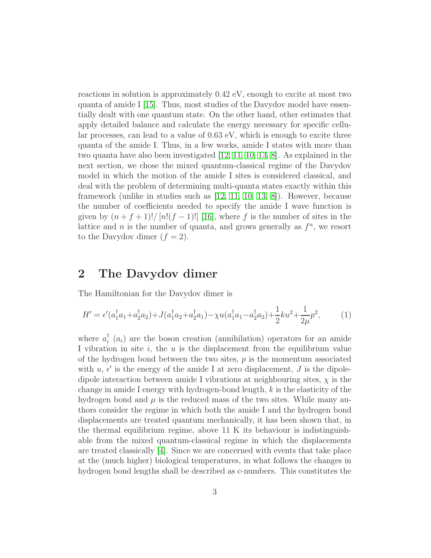reactions in solution is approximately 0.42 eV, enough to excite at most two quanta of amide I  $[15]$ . Thus, most studies of the Davydov model have essentially dealt with one quantum state. On the other hand, other estimates that apply detailed balance and calculate the energy necessary for specific cellular processes, can lead to a value of 0.63 eV, which is enough to excite three quanta of the amide I. Thus, in a few works, amide I states with more than two quanta have also been investigated [\[12,](#page-19-2) [11,](#page-19-3) [10,](#page-19-5) [13,](#page-19-4) [8\]](#page-18-6). As explained in the next section, we chose the mixed quantum-classical regime of the Davydov model in which the motion of the amide I sites is considered classical, and deal with the problem of determining multi-quanta states exactly within this framework (unlike in studies such as [\[12,](#page-19-2) [11,](#page-19-3) [10,](#page-19-5) [13,](#page-19-4) [8\]](#page-18-6)). However, because the number of coefficients needed to specify the amide I wave function is given by  $(n + f + 1)!/[n!(f - 1)!][16]$ , where f is the number of sites in the lattice and  $n$  is the number of quanta, and grows generally as  $f^n$ , we resort to the Davydov dimer  $(f = 2)$ .

### 2 The Davydov dimer

The Hamiltonian for the Davydov dimer is

<span id="page-2-0"></span>
$$
H' = \epsilon'(a_1^{\dagger}a_1 + a_2^{\dagger}a_2) + J(a_1^{\dagger}a_2 + a_2^{\dagger}a_1) - \chi u(a_1^{\dagger}a_1 - a_2^{\dagger}a_2) + \frac{1}{2}ku^2 + \frac{1}{2\mu}p^2,\tag{1}
$$

where  $a_i^{\dagger}$  ( $a_i$ ) are the boson creation (annihilation) operators for an amide I vibration in site  $i$ , the  $u$  is the displacement from the equilibrium value of the hydrogen bond between the two sites,  $p$  is the momentum associated with  $u, \epsilon'$  is the energy of the amide I at zero displacement, J is the dipoledipole interaction between amide I vibrations at neighbouring sites,  $\chi$  is the change in amide I energy with hydrogen-bond length, k is the elasticity of the hydrogen bond and  $\mu$  is the reduced mass of the two sites. While many authors consider the regime in which both the amide I and the hydrogen bond displacements are treated quantum mechanically, it has been shown that, in the thermal equilibrium regime, above 11 K its behaviour is indistinguishable from the mixed quantum-classical regime in which the displacements are treated classically [\[4\]](#page-18-7). Since we are concerned with events that take place at the (much higher) biological temperatures, in what follows the changes in hydrogen bond lengths shall be described as c-numbers. This constitutes the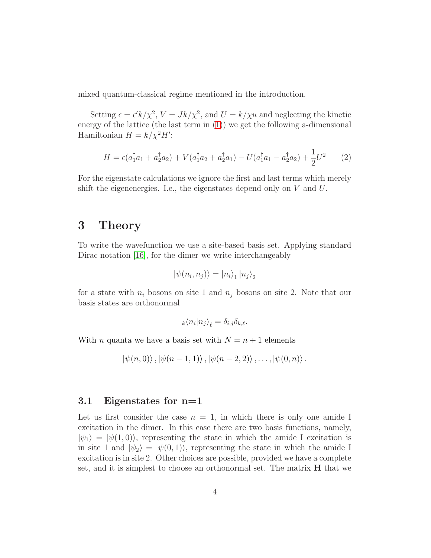mixed quantum-classical regime mentioned in the introduction.

Setting  $\epsilon = \epsilon' k / \chi^2$ ,  $V = J k / \chi^2$ , and  $U = k / \chi u$  and neglecting the kinetic energy of the lattice (the last term in [\(1\)](#page-2-0)) we get the following a-dimensional Hamiltonian  $H = k/\chi^2 H'$ :

<span id="page-3-0"></span>
$$
H = \epsilon (a_1^{\dagger} a_1 + a_2^{\dagger} a_2) + V(a_1^{\dagger} a_2 + a_2^{\dagger} a_1) - U(a_1^{\dagger} a_1 - a_2^{\dagger} a_2) + \frac{1}{2} U^2 \tag{2}
$$

For the eigenstate calculations we ignore the first and last terms which merely shift the eigenenergies. I.e., the eigenstates depend only on  $V$  and  $U$ .

### 3 Theory

To write the wavefunction we use a site-based basis set. Applying standard Dirac notation [\[16\]](#page-19-6), for the dimer we write interchangeably

$$
\left|\psi(n_i, n_j)\right\rangle = \left|n_i\right\rangle_1 \left|n_j\right\rangle_2
$$

for a state with  $n_i$  bosons on site 1 and  $n_j$  bosons on site 2. Note that our basis states are orthonormal

$$
_{k}\langle n_{i}|n_{j}\rangle _{\ell}=\delta _{i,j}\delta _{k,\ell}.
$$

With *n* quanta we have a basis set with  $N = n + 1$  elements

$$
\ket{\psi(n,0)}, \ket{\psi(n-1,1)}, \ket{\psi(n-2,2)}, \ldots, \ket{\psi(0,n)}.
$$

#### 3.1 Eigenstates for n=1

Let us first consider the case  $n = 1$ , in which there is only one amide I excitation in the dimer. In this case there are two basis functions, namely,  $|\psi_1\rangle = |\psi(1,0)\rangle$ , representing the state in which the amide I excitation is in site 1 and  $|\psi_2\rangle = |\psi(0,1)\rangle$ , representing the state in which the amide I excitation is in site 2. Other choices are possible, provided we have a complete set, and it is simplest to choose an orthonormal set. The matrix H that we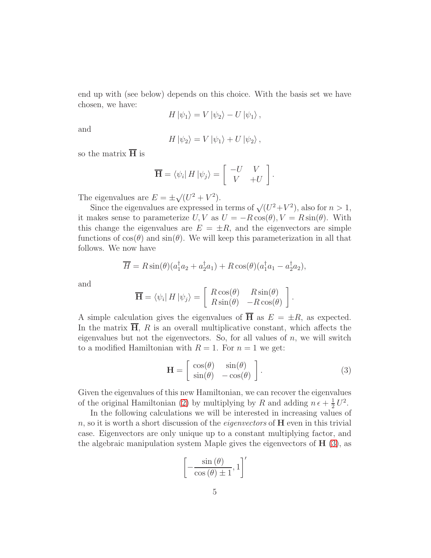end up with (see below) depends on this choice. With the basis set we have chosen, we have:

$$
H|\psi_1\rangle = V|\psi_2\rangle - U|\psi_1\rangle ,
$$

and

$$
H |\psi_2\rangle = V |\psi_1\rangle + U |\psi_2\rangle ,
$$

so the matrix  $\overline{H}$  is

$$
\overline{\mathbf{H}} = \langle \psi_i | H | \psi_j \rangle = \begin{bmatrix} -U & V \\ V & +U \end{bmatrix}.
$$

The eigenvalues are  $E = \pm \sqrt{(U^2 + V^2)}$ .

Since the eigenvalues are expressed in terms of  $\sqrt{(U^2+V^2)}$ , also for  $n>1$ , it makes sense to parameterize  $U, V$  as  $U = -R \cos(\theta), V = R \sin(\theta)$ . With this change the eigenvalues are  $E = \pm R$ , and the eigenvectors are simple functions of  $cos(\theta)$  and  $sin(\theta)$ . We will keep this parameterization in all that follows. We now have

$$
\overline{H} = R\sin(\theta)(a_1^\dagger a_2 + a_2^\dagger a_1) + R\cos(\theta)(a_1^\dagger a_1 - a_2^\dagger a_2),
$$

and

$$
\overline{\mathbf{H}} = \langle \psi_i | H | \psi_j \rangle = \begin{bmatrix} R \cos(\theta) & R \sin(\theta) \\ R \sin(\theta) & -R \cos(\theta) \end{bmatrix}.
$$

A simple calculation gives the eigenvalues of  $\overline{H}$  as  $E = \pm R$ , as expected. In the matrix  $\overline{H}$ , R is an overall multiplicative constant, which affects the eigenvalues but not the eigenvectors. So, for all values of  $n$ , we will switch to a modified Hamiltonian with  $R = 1$ . For  $n = 1$  we get:

<span id="page-4-0"></span>
$$
\mathbf{H} = \begin{bmatrix} \cos(\theta) & \sin(\theta) \\ \sin(\theta) & -\cos(\theta) \end{bmatrix}.
$$
 (3)

Given the eigenvalues of this new Hamiltonian, we can recover the eigenvalues of the original Hamiltonian [\(2\)](#page-3-0) by multiplying by R and adding  $n \epsilon + \frac{1}{2}$  $rac{1}{2}U^2$ .

In the following calculations we will be interested in increasing values of  $n$ , so it is worth a short discussion of the *eigenvectors* of  $H$  even in this trivial case. Eigenvectors are only unique up to a constant multiplying factor, and the algebraic manipulation system Maple gives the eigenvectors of  $H(3)$  $H(3)$ , as

$$
\left[ -\frac{\sin(\theta)}{\cos(\theta) \pm 1}, 1 \right]'
$$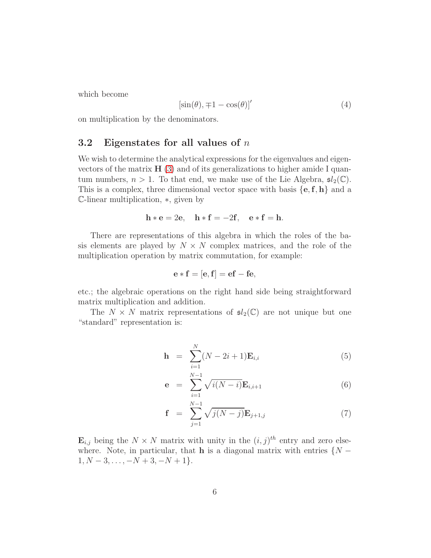which become

<span id="page-5-1"></span>
$$
[\sin(\theta), \mp 1 - \cos(\theta)]'
$$
 (4)

on multiplication by the denominators.

#### 3.2 Eigenstates for all values of  $n$

We wish to determine the analytical expressions for the eigenvalues and eigenvectors of the matrix  $H(3)$  $H(3)$  and of its generalizations to higher amide I quantum numbers,  $n > 1$ . To that end, we make use of the Lie Algebra,  $\mathfrak{sl}_2(\mathbb{C})$ . This is a complex, three dimensional vector space with basis  $\{e, f, h\}$  and a <sup>C</sup>-linear multiplication, <sup>∗</sup>, given by

$$
\mathbf{h} * \mathbf{e} = 2\mathbf{e}, \quad \mathbf{h} * \mathbf{f} = -2\mathbf{f}, \quad \mathbf{e} * \mathbf{f} = \mathbf{h}.
$$

There are representations of this algebra in which the roles of the basis elements are played by  $N \times N$  complex matrices, and the role of the multiplication operation by matrix commutation, for example:

$$
\mathbf{e} * \mathbf{f} = [\mathbf{e}, \mathbf{f}] = \mathbf{ef} - \mathbf{fe},
$$

etc.; the algebraic operations on the right hand side being straightforward matrix multiplication and addition.

The  $N \times N$  matrix representations of  $\mathfrak{sl}_2(\mathbb{C})$  are not unique but one "standard" representation is:

<span id="page-5-0"></span>
$$
\mathbf{h} = \sum_{i=1}^{N} (N - 2i + 1) \mathbf{E}_{i,i}
$$
 (5)

$$
e = \sum_{i=1}^{N-1} \sqrt{i(N-i)} E_{i,i+1}
$$
 (6)

$$
\mathbf{f} = \sum_{j=1}^{N-1} \sqrt{j(N-j)} \mathbf{E}_{j+1,j} \tag{7}
$$

 $\mathbf{E}_{i,j}$  being the  $N \times N$  matrix with unity in the  $(i, j)^{th}$  entry and zero elsewhere. Note, in particular, that **h** is a diagonal matrix with entries  $\{N - \}$  $1, N-3, \ldots, -N+3, -N+1$ .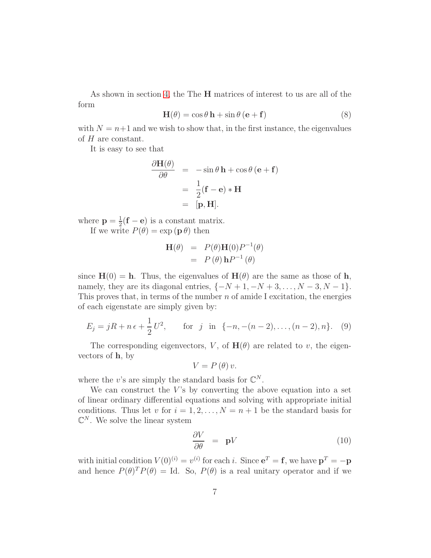As shown in section [4,](#page-9-0) the The H matrices of interest to us are all of the form

$$
\mathbf{H}(\theta) = \cos \theta \, \mathbf{h} + \sin \theta \, (\mathbf{e} + \mathbf{f}) \tag{8}
$$

with  $N = n+1$  and we wish to show that, in the first instance, the eigenvalues of H are constant.

It is easy to see that

$$
\frac{\partial \mathbf{H}(\theta)}{\partial \theta} = -\sin \theta \, \mathbf{h} + \cos \theta \, (\mathbf{e} + \mathbf{f})
$$

$$
= \frac{1}{2} (\mathbf{f} - \mathbf{e}) \ast \mathbf{H}
$$

$$
= [\mathbf{p}, \mathbf{H}].
$$

where  $p = \frac{1}{2}$  $\frac{1}{2}(\mathbf{f}-\mathbf{e})$  is a constant matrix. If we write  $P(\theta) = \exp(\mathbf{p}\theta)$  then

$$
\mathbf{H}(\theta) = P(\theta)\mathbf{H}(0)P^{-1}(\theta)
$$

$$
= P(\theta)\mathbf{h}P^{-1}(\theta)
$$

since  $H(0) = h$ . Thus, the eigenvalues of  $H(\theta)$  are the same as those of h, namely, they are its diagonal entries,  $\{-N+1, -N+3, \ldots, N-3, N-1\}.$ This proves that, in terms of the number  $n$  of amide I excitation, the energies of each eigenstate are simply given by:

<span id="page-6-1"></span>
$$
E_j = jR + n\epsilon + \frac{1}{2}U^2, \quad \text{for } j \text{ in } \{-n, -(n-2), \dots, (n-2), n\}. \tag{9}
$$

The corresponding eigenvectors, V, of  $H(\theta)$  are related to v, the eigenvectors of  $h$ , by

$$
V = P(\theta)v.
$$

where the v's are simply the standard basis for  $\mathbb{C}^N$ .

We can construct the  $V$ 's by converting the above equation into a set of linear ordinary differential equations and solving with appropriate initial conditions. Thus let v for  $i = 1, 2, ..., N = n + 1$  be the standard basis for  $\mathbb{C}^N$ . We solve the linear system

<span id="page-6-0"></span>
$$
\frac{\partial V}{\partial \theta} = \mathbf{p}V \tag{10}
$$

with initial condition  $V(0)^{(i)} = v^{(i)}$  for each i. Since  $e^T = f$ , we have  $p^T = -p$ and hence  $P(\theta)^T P(\theta) = \text{Id}$ . So,  $P(\theta)$  is a real unitary operator and if we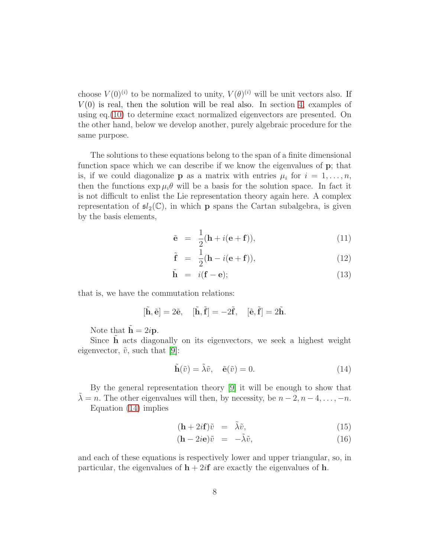choose  $V(0)^{(i)}$  to be normalized to unity,  $V(\theta)^{(i)}$  will be unit vectors also. If  $V(0)$  is real, then the solution will be real also. In section [4,](#page-9-0) examples of using eq.[\(10\)](#page-6-0) to determine exact normalized eigenvectors are presented. On the other hand, below we develop another, purely algebraic procedure for the same purpose.

The solutions to these equations belong to the span of a finite dimensional function space which we can describe if we know the eigenvalues of p; that is, if we could diagonalize **p** as a matrix with entries  $\mu_i$  for  $i = 1, \ldots, n$ , then the functions  $\exp \mu_i \theta$  will be a basis for the solution space. In fact it is not difficult to enlist the Lie representation theory again here. A complex representation of  $\mathfrak{sl}_2(\mathbb{C})$ , in which **p** spans the Cartan subalgebra, is given by the basis elements,

$$
\tilde{\mathbf{e}} = \frac{1}{2}(\mathbf{h} + i(\mathbf{e} + \mathbf{f})), \tag{11}
$$

$$
\tilde{\mathbf{f}} = \frac{1}{2}(\mathbf{h} - i(\mathbf{e} + \mathbf{f})), \tag{12}
$$

$$
\tilde{\mathbf{h}} = i(\mathbf{f} - \mathbf{e});\tag{13}
$$

that is, we have the commutation relations:

$$
[\tilde{\mathbf{h}}, \tilde{\mathbf{e}}] = 2\tilde{\mathbf{e}}, \quad [\tilde{\mathbf{h}}, \tilde{\mathbf{f}}] = -2\tilde{\mathbf{f}}, \quad [\tilde{\mathbf{e}}, \tilde{\mathbf{f}}] = 2\tilde{\mathbf{h}}.
$$

Note that  $\tilde{\mathbf{h}} = 2i\mathbf{p}$ .

Since  $\hat{h}$  acts diagonally on its eigenvectors, we seek a highest weight eigenvector,  $\tilde{v}$ , such that [\[9\]](#page-18-8):

<span id="page-7-0"></span>
$$
\tilde{\mathbf{h}}(\tilde{v}) = \tilde{\lambda}\tilde{v}, \quad \tilde{\mathbf{e}}(\tilde{v}) = 0.
$$
\n(14)

By the general representation theory [\[9\]](#page-18-8) it will be enough to show that  $\lambda = n$ . The other eigenvalues will then, by necessity, be  $n - 2, n - 4, \ldots, -n$ . Equation [\(14\)](#page-7-0) implies

$$
(\mathbf{h} + 2i\mathbf{f})\tilde{v} = \tilde{\lambda}\tilde{v}, \tag{15}
$$

$$
(\mathbf{h} - 2i\mathbf{e})\tilde{v} = -\tilde{\lambda}\tilde{v}, \tag{16}
$$

and each of these equations is respectively lower and upper triangular, so, in particular, the eigenvalues of  $h + 2i f$  are exactly the eigenvalues of h.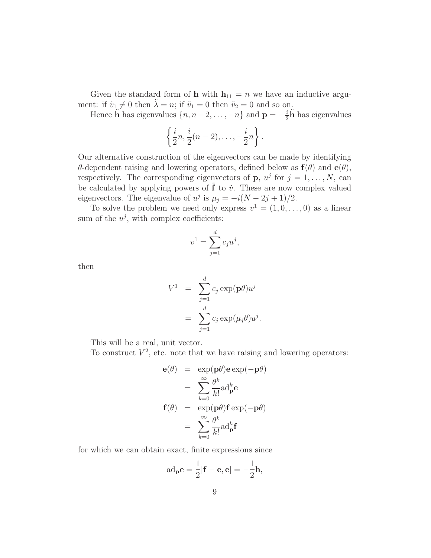Given the standard form of **h** with  $h_{11} = n$  we have an inductive argument: if  $\tilde{v}_1 \neq 0$  then  $\lambda = n$ ; if  $\tilde{v}_1 = 0$  then  $\tilde{v}_2 = 0$  and so on.

Hence  $\tilde{\mathbf{h}}$  has eigenvalues  $\{n, n-2, \ldots, -n\}$  and  $\mathbf{p} = -\frac{i}{2}$  $\frac{i}{2}\tilde{\mathbf{h}}$  has eigenvalues

$$
\left\{\frac{i}{2}n,\frac{i}{2}(n-2),\ldots,-\frac{i}{2}n\right\}.
$$

Our alternative construction of the eigenvectors can be made by identifying θ-dependent raising and lowering operators, defined below as  $f(θ)$  and  $e(θ)$ , respectively. The corresponding eigenvectors of **p**,  $u^j$  for  $j = 1, ..., N$ , can be calculated by applying powers of  $f$  to  $\tilde{v}$ . These are now complex valued eigenvectors. The eigenvalue of  $u^j$  is  $\mu_j = -i(N - 2j + 1)/2$ .

To solve the problem we need only express  $v^1 = (1, 0, \ldots, 0)$  as a linear sum of the  $u^j$ , with complex coefficients:

$$
v^1 = \sum_{j=1}^d c_j u^j,
$$

then

$$
V^{1} = \sum_{j=1}^{d} c_{j} \exp(\mathbf{p}\theta) u^{j}
$$

$$
= \sum_{j=1}^{d} c_{j} \exp(\mu_{j}\theta) u^{j}.
$$

This will be a real, unit vector.

To construct  $V^2$ , etc. note that we have raising and lowering operators:

$$
\mathbf{e}(\theta) = \exp(\mathbf{p}\theta)\mathbf{e}\exp(-\mathbf{p}\theta)
$$

$$
= \sum_{k=0}^{\infty} \frac{\theta^k}{k!} \text{ad}_{\mathbf{p}}^k \mathbf{e}
$$

$$
\mathbf{f}(\theta) = \exp(\mathbf{p}\theta)\mathbf{f}\exp(-\mathbf{p}\theta)
$$

$$
= \sum_{k=0}^{\infty} \frac{\theta^k}{k!} \text{ad}_{\mathbf{p}}^k \mathbf{f}
$$

for which we can obtain exact, finite expressions since

$$
ad_{\mathbf{p}}\mathbf{e} = \frac{1}{2}[\mathbf{f} - \mathbf{e}, \mathbf{e}] = -\frac{1}{2}\mathbf{h},
$$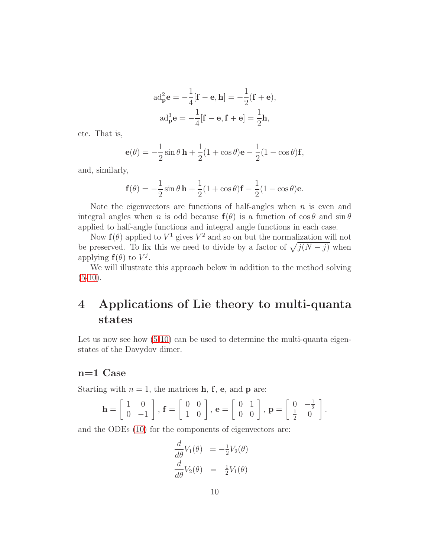$$
ad_{\mathbf{p}}^{2}\mathbf{e} = -\frac{1}{4}[\mathbf{f} - \mathbf{e}, \mathbf{h}] = -\frac{1}{2}(\mathbf{f} + \mathbf{e}),
$$

$$
ad_{\mathbf{p}}^{3}\mathbf{e} = -\frac{1}{4}[\mathbf{f} - \mathbf{e}, \mathbf{f} + \mathbf{e}] = \frac{1}{2}\mathbf{h},
$$

etc. That is,

$$
\mathbf{e}(\theta) = -\frac{1}{2}\sin\theta\,\mathbf{h} + \frac{1}{2}(1+\cos\theta)\mathbf{e} - \frac{1}{2}(1-\cos\theta)\mathbf{f},
$$

and, similarly,

$$
\mathbf{f}(\theta) = -\frac{1}{2}\sin\theta\,\mathbf{h} + \frac{1}{2}(1+\cos\theta)\mathbf{f} - \frac{1}{2}(1-\cos\theta)\mathbf{e}.
$$

Note the eigenvectors are functions of half-angles when  $n$  is even and integral angles when n is odd because  $f(\theta)$  is a function of  $\cos \theta$  and  $\sin \theta$ applied to half-angle functions and integral angle functions in each case.

Now  $f(\theta)$  applied to  $V^1$  gives  $V^2$  and so on but the normalization will not be preserved. To fix this we need to divide by a factor of  $\sqrt{j(N-j)}$  when applying  $f(\theta)$  to  $V^j$ .

We will illustrate this approach below in addition to the method solving  $(5-10).$  $(5-10).$  $(5-10).$ 

## <span id="page-9-0"></span>4 Applications of Lie theory to multi-quanta states

Let us now see how  $(5-10)$  $(5-10)$  can be used to determine the multi-quanta eigenstates of the Davydov dimer.

#### n=1 Case

Starting with  $n = 1$ , the matrices **h**, **f**, **e**, and **p** are:

$$
\mathbf{h} = \left[ \begin{array}{cc} 1 & 0 \\ 0 & -1 \end{array} \right], \mathbf{f} = \left[ \begin{array}{cc} 0 & 0 \\ 1 & 0 \end{array} \right], \mathbf{e} = \left[ \begin{array}{cc} 0 & 1 \\ 0 & 0 \end{array} \right], \mathbf{p} = \left[ \begin{array}{cc} 0 & -\frac{1}{2} \\ \frac{1}{2} & 0 \end{array} \right].
$$

and the ODEs [\(10\)](#page-6-0) for the components of eigenvectors are:

$$
\frac{d}{d\theta}V_1(\theta) = -\frac{1}{2}V_2(\theta)
$$
  

$$
\frac{d}{d\theta}V_2(\theta) = \frac{1}{2}V_1(\theta)
$$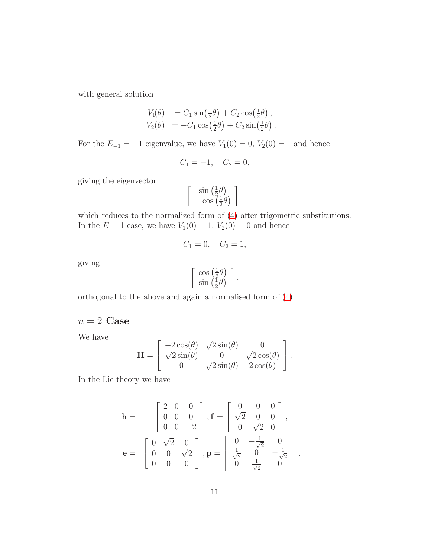with general solution

$$
V_1(\theta) = C_1 \sin\left(\frac{1}{2}\theta\right) + C_2 \cos\left(\frac{1}{2}\theta\right),
$$
  
\n
$$
V_2(\theta) = -C_1 \cos\left(\frac{1}{2}\theta\right) + C_2 \sin\left(\frac{1}{2}\theta\right).
$$

For the  $E_{-1} = -1$  eigenvalue, we have  $V_1(0) = 0$ ,  $V_2(0) = 1$  and hence

$$
C_1 = -1, \quad C_2 = 0,
$$

giving the eigenvector

$$
\left[\begin{array}{c}\sin\left(\frac{1}{2}\theta\right)\\-\cos\left(\frac{1}{2}\theta\right)\end{array}\right].
$$

which reduces to the normalized form of [\(4\)](#page-5-1) after trigometric substitutions. In the  $E = 1$  case, we have  $V_1(0) = 1$ ,  $V_2(0) = 0$  and hence

$$
C_1 = 0, \quad C_2 = 1,
$$

giving

$$
\begin{bmatrix}\n\cos\left(\frac{1}{2}\theta\right) \\
\sin\left(\frac{1}{2}\theta\right)\n\end{bmatrix}.
$$

orthogonal to the above and again a normalised form of [\(4\)](#page-5-1).

 $n = 2$  Case

We have

$$
\mathbf{H} = \begin{bmatrix} -2\cos(\theta) & \sqrt{2}\sin(\theta) & 0 \\ \sqrt{2}\sin(\theta) & 0 & \sqrt{2}\cos(\theta) \\ 0 & \sqrt{2}\sin(\theta) & 2\cos(\theta) \end{bmatrix}.
$$

In the Lie theory we have

$$
\mathbf{h} = \begin{bmatrix} 2 & 0 & 0 \\ 0 & 0 & 0 \\ 0 & 0 & -2 \end{bmatrix}, \mathbf{f} = \begin{bmatrix} 0 & 0 & 0 \\ \sqrt{2} & 0 & 0 \\ 0 & \sqrt{2} & 0 \end{bmatrix},
$$

$$
\mathbf{e} = \begin{bmatrix} 0 & \sqrt{2} & 0 \\ 0 & 0 & \sqrt{2} \\ 0 & 0 & 0 \end{bmatrix}, \mathbf{p} = \begin{bmatrix} 0 & -\frac{1}{\sqrt{2}} & 0 \\ \frac{1}{\sqrt{2}} & 0 & -\frac{1}{\sqrt{2}} \\ 0 & \frac{1}{\sqrt{2}} & 0 \end{bmatrix}.
$$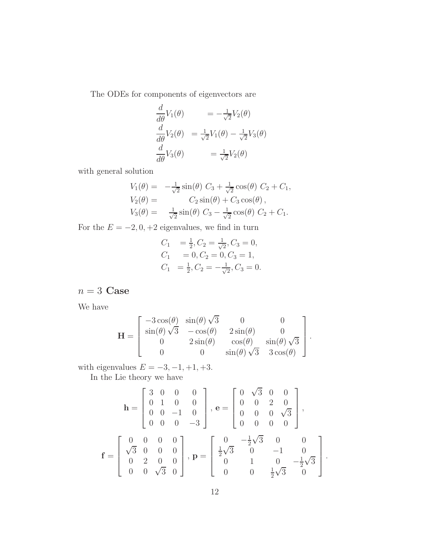The ODEs for components of eigenvectors are

$$
\frac{d}{d\theta}V_1(\theta) = -\frac{1}{\sqrt{2}}V_2(\theta)
$$

$$
\frac{d}{d\theta}V_2(\theta) = \frac{1}{\sqrt{2}}V_1(\theta) - \frac{1}{\sqrt{2}}V_3(\theta)
$$

$$
\frac{d}{d\theta}V_3(\theta) = \frac{1}{\sqrt{2}}V_2(\theta)
$$

with general solution

$$
V_1(\theta) = -\frac{1}{\sqrt{2}} \sin(\theta) C_3 + \frac{1}{\sqrt{2}} \cos(\theta) C_2 + C_1,
$$
  
\n
$$
V_2(\theta) = C_2 \sin(\theta) + C_3 \cos(\theta),
$$
  
\n
$$
V_3(\theta) = \frac{1}{\sqrt{2}} \sin(\theta) C_3 - \frac{1}{\sqrt{2}} \cos(\theta) C_2 + C_1.
$$

For the  $E = -2, 0, +2$  eigenvalues, we find in turn

$$
C_1 = \frac{1}{2}, C_2 = \frac{1}{\sqrt{2}}, C_3 = 0,
$$
  
\n
$$
C_1 = 0, C_2 = 0, C_3 = 1,
$$
  
\n
$$
C_1 = \frac{1}{2}, C_2 = -\frac{1}{\sqrt{2}}, C_3 = 0.
$$

 $n = 3$  Case

We have

$$
\mathbf{H} = \begin{bmatrix} -3\cos(\theta) & \sin(\theta)\sqrt{3} & 0 & 0 \\ \sin(\theta)\sqrt{3} & -\cos(\theta) & 2\sin(\theta) & 0 \\ 0 & 2\sin(\theta) & \cos(\theta) & \sin(\theta)\sqrt{3} \\ 0 & 0 & \sin(\theta)\sqrt{3} & 3\cos(\theta) \end{bmatrix}.
$$

with eigenvalues  $E = -3, -1, +1, +3$ .

In the Lie theory we have

$$
\mathbf{h} = \begin{bmatrix} 3 & 0 & 0 & 0 \\ 0 & 1 & 0 & 0 \\ 0 & 0 & -1 & 0 \\ 0 & 0 & 0 & -3 \end{bmatrix}, \mathbf{e} = \begin{bmatrix} 0 & \sqrt{3} & 0 & 0 \\ 0 & 0 & 2 & 0 \\ 0 & 0 & 0 & \sqrt{3} \\ 0 & 0 & 0 & 0 \end{bmatrix},
$$

$$
\mathbf{f} = \begin{bmatrix} 0 & 0 & 0 & 0 \\ \sqrt{3} & 0 & 0 & 0 \\ 0 & 2 & 0 & 0 \\ 0 & 0 & \sqrt{3} & 0 \end{bmatrix}, \mathbf{p} = \begin{bmatrix} 0 & -\frac{1}{2}\sqrt{3} & 0 & 0 \\ \frac{1}{2}\sqrt{3} & 0 & -1 & 0 \\ 0 & 1 & 0 & -\frac{1}{2}\sqrt{3} \\ 0 & 0 & \frac{1}{2}\sqrt{3} & 0 \end{bmatrix}.
$$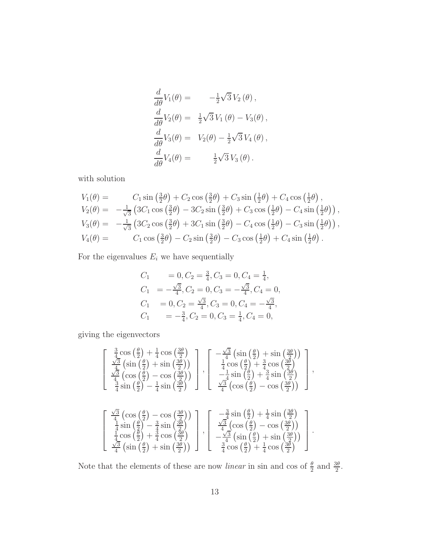$$
\frac{d}{d\theta}V_1(\theta) = -\frac{1}{2}\sqrt{3}V_2(\theta),
$$
  

$$
\frac{d}{d\theta}V_2(\theta) = \frac{1}{2}\sqrt{3}V_1(\theta) - V_3(\theta),
$$
  

$$
\frac{d}{d\theta}V_3(\theta) = V_2(\theta) - \frac{1}{2}\sqrt{3}V_4(\theta),
$$
  

$$
\frac{d}{d\theta}V_4(\theta) = \frac{1}{2}\sqrt{3}V_3(\theta).
$$

with solution

$$
V_1(\theta) = C_1 \sin(\frac{3}{2}\theta) + C_2 \cos(\frac{3}{2}\theta) + C_3 \sin(\frac{1}{2}\theta) + C_4 \cos(\frac{1}{2}\theta),
$$
  
\n
$$
V_2(\theta) = -\frac{1}{\sqrt{3}} \left( 3C_1 \cos(\frac{3}{2}\theta) - 3C_2 \sin(\frac{3}{2}\theta) + C_3 \cos(\frac{1}{2}\theta) - C_4 \sin(\frac{1}{2}\theta) \right),
$$
  
\n
$$
V_3(\theta) = -\frac{1}{\sqrt{3}} \left( 3C_2 \cos(\frac{3}{2}\theta) + 3C_1 \sin(\frac{3}{2}\theta) - C_4 \cos(\frac{1}{2}\theta) - C_3 \sin(\frac{1}{2}\theta) \right),
$$
  
\n
$$
V_4(\theta) = C_1 \cos(\frac{3}{2}\theta) - C_2 \sin(\frac{3}{2}\theta) - C_3 \cos(\frac{1}{2}\theta) + C_4 \sin(\frac{1}{2}\theta).
$$

For the eigenvalues  $\mathcal{E}_i$  we have sequentially

$$
C_1 = 0, C_2 = \frac{3}{4}, C_3 = 0, C_4 = \frac{1}{4},
$$
  
\n
$$
C_1 = -\frac{\sqrt{3}}{4}, C_2 = 0, C_3 = -\frac{\sqrt{3}}{4}, C_4 = 0,
$$
  
\n
$$
C_1 = 0, C_2 = \frac{\sqrt{3}}{4}, C_3 = 0, C_4 = -\frac{\sqrt{3}}{4},
$$
  
\n
$$
C_1 = -\frac{3}{4}, C_2 = 0, C_3 = \frac{1}{4}, C_4 = 0,
$$

giving the eigenvectors

$$
\begin{bmatrix}\n\frac{3}{4}\cos\left(\frac{\theta}{2}\right) + \frac{1}{4}\cos\left(\frac{3\theta}{2}\right) \\
\frac{\sqrt{3}}{4}\left(\sin\left(\frac{\theta}{2}\right) + \sin\left(\frac{3\theta}{2}\right)\right) \\
\frac{\sqrt{3}}{4}\left(\cos\left(\frac{\theta}{2}\right) - \cos\left(\frac{3\theta}{2}\right)\right) \\
\frac{3}{4}\sin\left(\frac{\theta}{2}\right) - \frac{1}{4}\sin\left(\frac{3\theta}{2}\right)\n\end{bmatrix}, \begin{bmatrix}\n-\frac{\sqrt{3}}{4}\left(\sin\left(\frac{\theta}{2}\right) + \sin\left(\frac{3\theta}{2}\right)\right) \\
\frac{1}{4}\cos\left(\frac{\theta}{2}\right) + \frac{3}{4}\cos\left(\frac{3\theta}{2}\right) \\
-\frac{1}{4}\sin\left(\frac{\theta}{2}\right) + \frac{3}{4}\sin\left(\frac{3\theta}{2}\right) \\
\frac{\sqrt{3}}{4}\left(\cos\left(\frac{\theta}{2}\right) - \frac{1}{4}\sin\left(\frac{3\theta}{2}\right)\right)\n\end{bmatrix},
$$
\n
$$
\begin{bmatrix}\n\frac{\sqrt{3}}{4}\left(\cos\left(\frac{\theta}{2}\right) - \cos\left(\frac{3\theta}{2}\right)\right) \\
\frac{1}{4}\sin\left(\frac{\theta}{2}\right) - \frac{3}{4}\sin\left(\frac{3\theta}{2}\right) \\
\frac{1}{4}\cos\left(\frac{\theta}{2}\right) + \frac{3}{4}\cos\left(\frac{3\theta}{2}\right)\n\end{bmatrix}, \begin{bmatrix}\n-\frac{3}{4}\sin\left(\frac{\theta}{2}\right) + \frac{1}{4}\sin\left(\frac{3\theta}{2}\right) \\
\frac{\sqrt{3}}{4}\left(\cos\left(\frac{\theta}{2}\right) - \cos\left(\frac{3\theta}{2}\right)\right) \\
-\frac{\sqrt{3}}{4}\left(\sin\left(\frac{\theta}{2}\right) + \sin\left(\frac{3\theta}{2}\right)\right)\n\end{bmatrix}.
$$

Note that the elements of these are now *linear* in sin and cos of  $\frac{\theta}{2}$  and  $\frac{3\theta}{2}$ .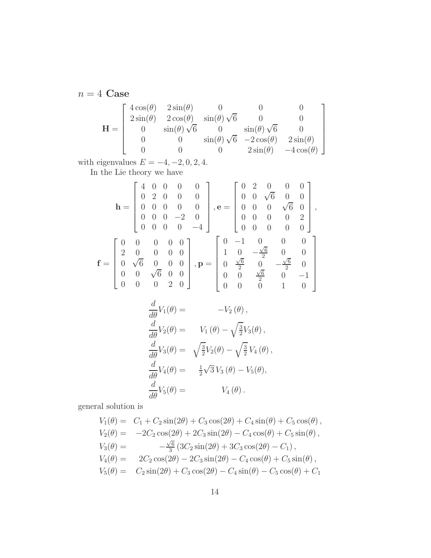$n=4\,$  Case

$$
\mathbf{H} = \begin{bmatrix} 4\cos(\theta) & 2\sin(\theta) & 0 & 0 & 0 \\ 2\sin(\theta) & 2\cos(\theta) & \sin(\theta)\sqrt{6} & 0 & 0 \\ 0 & \sin(\theta)\sqrt{6} & 0 & \sin(\theta)\sqrt{6} & 0 \\ 0 & 0 & \sin(\theta)\sqrt{6} & -2\cos(\theta) & 2\sin(\theta) \\ 0 & 0 & 0 & 2\sin(\theta) & -4\cos(\theta) \end{bmatrix}
$$

with eigenvalues  $E = -4, -2, 0, 2, 4$ .

In the Lie theory we have

$$
\mathbf{h} = \begin{bmatrix} 4 & 0 & 0 & 0 & 0 \\ 0 & 2 & 0 & 0 & 0 \\ 0 & 0 & 0 & 0 & 0 \\ 0 & 0 & 0 & -2 & 0 \\ 0 & 0 & 0 & 0 & -4 \end{bmatrix}, \mathbf{e} = \begin{bmatrix} 0 & 2 & 0 & 0 & 0 \\ 0 & 0 & \sqrt{6} & 0 & 0 \\ 0 & 0 & 0 & \sqrt{6} & 0 \\ 0 & 0 & 0 & 0 & 2 \\ 0 & 0 & 0 & 0 & 0 \end{bmatrix},
$$

$$
\mathbf{f} = \begin{bmatrix} 0 & 0 & 0 & 0 & 0 \\ 2 & 0 & 0 & 0 & 0 \\ 0 & \sqrt{6} & 0 & 0 & 0 \\ 0 & 0 & \sqrt{6} & 0 & 0 \\ 0 & 0 & 0 & 2 & 0 \end{bmatrix}, \mathbf{p} = \begin{bmatrix} 0 & -1 & 0 & 0 & 0 \\ 1 & 0 & -\frac{\sqrt{6}}{2} & 0 & 0 \\ 0 & \frac{\sqrt{6}}{2} & 0 & -\frac{\sqrt{6}}{2} & 0 \\ 0 & 0 & \frac{\sqrt{6}}{2} & 0 & -1 \\ 0 & 0 & 0 & 1 & 0 \end{bmatrix}
$$

$$
\frac{d}{d\theta}V_1(\theta) = -V_2(\theta),
$$
  
\n
$$
\frac{d}{d\theta}V_2(\theta) = V_1(\theta) - \sqrt{\frac{3}{2}}V_3(\theta),
$$
  
\n
$$
\frac{d}{d\theta}V_3(\theta) = \sqrt{\frac{3}{2}}V_2(\theta) - \sqrt{\frac{3}{2}}V_4(\theta),
$$
  
\n
$$
\frac{d}{d\theta}V_4(\theta) = \frac{1}{2}\sqrt{3}V_3(\theta) - V_5(\theta),
$$
  
\n
$$
\frac{d}{d\theta}V_5(\theta) = V_4(\theta).
$$

general solution is

$$
V_1(\theta) = C_1 + C_2 \sin(2\theta) + C_3 \cos(2\theta) + C_4 \sin(\theta) + C_5 \cos(\theta),
$$
  
\n
$$
V_2(\theta) = -2C_2 \cos(2\theta) + 2C_3 \sin(2\theta) - C_4 \cos(\theta) + C_5 \sin(\theta),
$$
  
\n
$$
V_3(\theta) = -\frac{\sqrt{6}}{3} (3C_2 \sin(2\theta) + 3C_3 \cos(2\theta) - C_1),
$$
  
\n
$$
V_4(\theta) = 2C_2 \cos(2\theta) - 2C_3 \sin(2\theta) - C_4 \cos(\theta) + C_5 \sin(\theta),
$$
  
\n
$$
V_5(\theta) = C_2 \sin(2\theta) + C_3 \cos(2\theta) - C_4 \sin(\theta) - C_5 \cos(\theta) + C_1
$$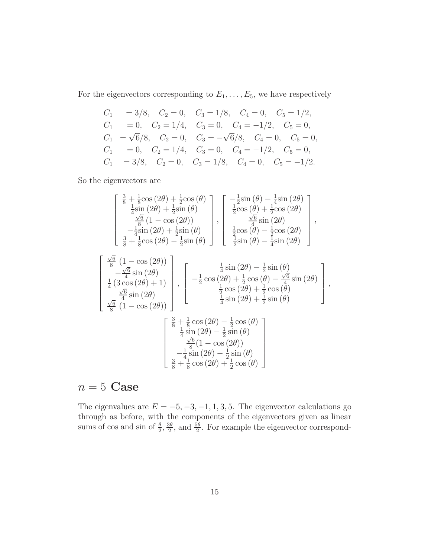For the eigenvectors corresponding to  $E_1, \ldots, E_5$ , we have respectively

$$
C_1 = 3/8, C_2 = 0, C_3 = 1/8, C_4 = 0, C_5 = 1/2,
$$
  
\n
$$
C_1 = 0, C_2 = 1/4, C_3 = 0, C_4 = -1/2, C_5 = 0,
$$
  
\n
$$
C_1 = \sqrt{6}/8, C_2 = 0, C_3 = -\sqrt{6}/8, C_4 = 0, C_5 = 0,
$$
  
\n
$$
C_1 = 0, C_2 = 1/4, C_3 = 0, C_4 = -1/2, C_5 = 0,
$$
  
\n
$$
C_1 = 3/8, C_2 = 0, C_3 = 1/8, C_4 = 0, C_5 = -1/2.
$$

So the eigenvectors are

$$
\begin{bmatrix}\n\frac{3}{8} + \frac{1}{8}\cos(2\theta) + \frac{1}{2}\cos(\theta) \\
\frac{1}{4}\sin(2\theta) + \frac{1}{2}\sin(\theta) \\
\frac{\sqrt{6}}{4}\sin(2\theta) + \frac{1}{2}\sin(\theta) \\
-\frac{1}{4}\sin(2\theta) + \frac{1}{2}\sin(\theta) \\
\frac{3}{8} + \frac{1}{8}\cos(2\theta) - \frac{1}{2}\sin(\theta)\n\end{bmatrix}, \begin{bmatrix}\n-\frac{1}{2}\sin(\theta) - \frac{1}{4}\sin(2\theta) \\
\frac{1}{2}\cos(\theta) + \frac{1}{2}\cos(2\theta) \\
\frac{1}{2}\sin(2\theta) \\
\frac{1}{2}\sin(\theta) - \frac{1}{4}\sin(2\theta)\n\end{bmatrix},
$$
\n
$$
\begin{bmatrix}\n\frac{\sqrt{6}}{8}(1 - \cos(2\theta)) \\
-\frac{\sqrt{6}}{4}\sin(2\theta) \\
\frac{1}{4}(3\cos(2\theta) + 1) \\
\frac{\sqrt{6}}{4}\sin(2\theta)\n\end{bmatrix}, \begin{bmatrix}\n\frac{1}{4}\sin(2\theta) - \frac{1}{2}\sin(\theta) \\
-\frac{1}{2}\cos(2\theta) + \frac{1}{2}\cos(\theta) - \frac{\sqrt{6}}{4}\sin(2\theta) \\
\frac{1}{4}\cos(2\theta) + \frac{1}{2}\cos(\theta) \\
\frac{\sqrt{6}}{8}(1 - \cos(2\theta))\n\end{bmatrix},
$$
\n
$$
\begin{bmatrix}\n\frac{3}{8} + \frac{1}{8}\cos(2\theta) - \frac{1}{2}\cos(\theta) \\
\frac{1}{4}\sin(2\theta) + \frac{1}{2}\sin(\theta) \\
\frac{\sqrt{6}}{4}\sin(2\theta) - \frac{1}{2}\sin(\theta) \\
\frac{\sqrt{6}}{4}\sin(2\theta) - \frac{1}{2}\sin(\theta) \\
-\frac{1}{4}\sin(2\theta) - \frac{1}{2}\sin(\theta)\n\end{bmatrix},
$$

## $n = 5$  Case

The eigenvalues are  $E = -5, -3, -1, 1, 3, 5$ . The eigenvector calculations go through as before, with the components of the eigenvectors given as linear sums of cos and sin of  $\frac{\theta}{2}, \frac{3\theta}{2}$  $\frac{3\theta}{2}$ , and  $\frac{5\theta}{2}$ . For example the eigenvector correspond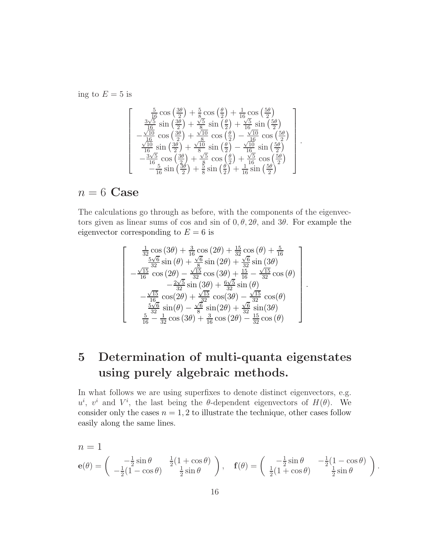ing to  $E = 5$  is

$$
\begin{bmatrix}\n\frac{5}{16}\cos\left(\frac{3\theta}{2}\right) + \frac{5}{8}\cos\left(\frac{\theta}{2}\right) + \frac{1}{16}\cos\left(\frac{5\theta}{2}\right) \\
\frac{3\sqrt{5}}{16}\sin\left(\frac{3\theta}{2}\right) + \frac{\sqrt{5}}{8}\sin\left(\frac{\theta}{2}\right) + \frac{\sqrt{5}}{16}\sin\left(\frac{5\theta}{2}\right) \\
-\frac{\sqrt{10}}{16}\cos\left(\frac{3\theta}{2}\right) + \frac{\sqrt{10}}{8}\cos\left(\frac{\theta}{2}\right) - \frac{\sqrt{10}}{16}\cos\left(\frac{5\theta}{2}\right) \\
\frac{\sqrt{10}}{16}\sin\left(\frac{3\theta}{2}\right) + \frac{\sqrt{10}}{8}\sin\left(\frac{\theta}{2}\right) - \frac{\sqrt{10}}{16}\sin\left(\frac{5\theta}{2}\right) \\
-\frac{3\sqrt{5}}{16}\cos\left(\frac{3\theta}{2}\right) + \frac{\sqrt{5}}{8}\cos\left(\frac{\theta}{2}\right) + \frac{\sqrt{5}}{16}\cos\left(\frac{5\theta}{2}\right) \\
-\frac{5}{16}\sin\left(\frac{3\theta}{2}\right) + \frac{3}{8}\sin\left(\frac{\theta}{2}\right) + \frac{1}{16}\sin\left(\frac{5\theta}{2}\right)\n\end{bmatrix}
$$

.

.

## $n = 6$  Case

The calculations go through as before, with the components of the eigenvectors given as linear sums of cos and sin of  $0, \theta, 2\theta$ , and  $3\theta$ . For example the eigenvector corresponding to  $E = 6$  is

$$
\begin{bmatrix}\n\frac{1}{32}\cos(3\theta) + \frac{3}{16}\cos(2\theta) + \frac{15}{32}\cos(\theta) + \frac{5}{16} \\
\frac{5\sqrt{6}}{32}\sin(\theta) + \frac{\sqrt{6}}{8}\sin(2\theta) + \frac{\sqrt{6}}{32}\sin(3\theta) \\
-\frac{\sqrt{15}}{16}\cos(2\theta) - \frac{\sqrt{15}}{32}\cos(3\theta) + \frac{15}{16} - \frac{\sqrt{15}}{32}\cos(\theta) \\
-\frac{2\sqrt{5}}{32}\sin(3\theta) + \frac{6\sqrt{5}}{32}\sin(\theta) \\
-\frac{\sqrt{15}}{16}\cos(2\theta) + \frac{\sqrt{15}}{32}\cos(3\theta) - \frac{\sqrt{15}}{32}\cos(\theta) \\
\frac{5\sqrt{6}}{32}\sin(\theta) - \frac{\sqrt{6}}{8}\sin(2\theta) + \frac{\sqrt{6}}{32}\sin(3\theta) \\
\frac{5}{16} - \frac{1}{32}\cos(3\theta) + \frac{3}{16}\cos(2\theta) - \frac{15}{32}\cos(\theta)\n\end{bmatrix}
$$

# 5 Determination of multi-quanta eigenstates using purely algebraic methods.

In what follows we are using superfixes to denote distinct eigenvectors, e.g.  $u^i$ ,  $v^i$  and  $V^i$ , the last being the  $\theta$ -dependent eigenvectors of  $H(\theta)$ . We consider only the cases  $n = 1, 2$  to illustrate the technique, other cases follow easily along the same lines.

$$
n = 1
$$
  
\n
$$
\mathbf{e}(\theta) = \begin{pmatrix} -\frac{1}{2}\sin\theta & \frac{1}{2}(1+\cos\theta) \\ -\frac{1}{2}(1-\cos\theta) & \frac{1}{2}\sin\theta \end{pmatrix}, \quad \mathbf{f}(\theta) = \begin{pmatrix} -\frac{1}{2}\sin\theta & -\frac{1}{2}(1-\cos\theta) \\ \frac{1}{2}(1+\cos\theta) & \frac{1}{2}\sin\theta \end{pmatrix}.
$$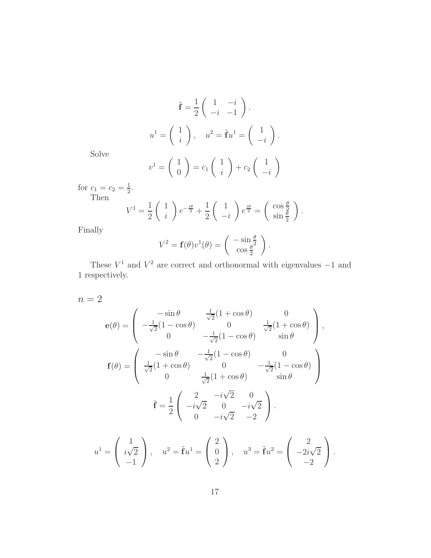$$
\tilde{\mathbf{f}} = \frac{1}{2} \begin{pmatrix} 1 & -i \\ -i & -1 \end{pmatrix}.
$$

$$
u^1 = \begin{pmatrix} 1 \\ i \end{pmatrix}, \quad u^2 = \tilde{\mathbf{f}}u^1 = \begin{pmatrix} 1 \\ -i \end{pmatrix}.
$$

Solve

$$
v^{1} = \begin{pmatrix} 1 \\ 0 \end{pmatrix} = c_{1} \begin{pmatrix} 1 \\ i \end{pmatrix} + c_{2} \begin{pmatrix} 1 \\ -i \end{pmatrix}
$$

for  $c_1 = c_2 = \frac{1}{2}$  $\frac{1}{2}$ . Then

$$
V^{1} = \frac{1}{2} \begin{pmatrix} 1 \\ i \end{pmatrix} e^{-\frac{i\theta}{2}} + \frac{1}{2} \begin{pmatrix} 1 \\ -i \end{pmatrix} e^{\frac{i\theta}{2}} = \begin{pmatrix} \cos \frac{\theta}{2} \\ \sin \frac{\theta}{2} \end{pmatrix}.
$$

Finally

$$
V^{2} = \mathbf{f}(\theta)v^{1}(\theta) = \begin{pmatrix} -\sin\frac{\theta}{2} \\ \cos\frac{\theta}{2} \end{pmatrix}.
$$

These  $V^1$  and  $V^2$  are correct and orthonormal with eigenvalues  $-1$  and 1 respectively.

 $n = 2$ 

$$
\mathbf{e}(\theta) = \begin{pmatrix}\n-\sin \theta & \frac{1}{\sqrt{2}}(1 + \cos \theta) & 0 \\
-\frac{1}{\sqrt{2}}(1 - \cos \theta) & 0 & \frac{1}{\sqrt{2}}(1 + \cos \theta) \\
0 & -\frac{1}{\sqrt{2}}(1 - \cos \theta) & \sin \theta\n\end{pmatrix},
$$
\n
$$
\mathbf{f}(\theta) = \begin{pmatrix}\n-\sin \theta & -\frac{1}{\sqrt{2}}(1 - \cos \theta) & 0 \\
\frac{1}{\sqrt{2}}(1 + \cos \theta) & 0 & -\frac{1}{\sqrt{2}}(1 - \cos \theta) \\
0 & \frac{1}{\sqrt{2}}(1 + \cos \theta) & \sin \theta\n\end{pmatrix}
$$
\n
$$
\tilde{\mathbf{f}} = \frac{1}{2} \begin{pmatrix}\n2 & -i\sqrt{2} & 0 \\
-i\sqrt{2} & 0 & -i\sqrt{2} \\
0 & -i\sqrt{2} & -2\n\end{pmatrix}.
$$

$$
u^{1} = \begin{pmatrix} 1 \\ i\sqrt{2} \\ -1 \end{pmatrix}, \quad u^{2} = \tilde{\mathbf{f}}u^{1} = \begin{pmatrix} 2 \\ 0 \\ 2 \end{pmatrix}, \quad u^{3} = \tilde{\mathbf{f}}u^{2} = \begin{pmatrix} 2 \\ -2i\sqrt{2} \\ -2 \end{pmatrix}.
$$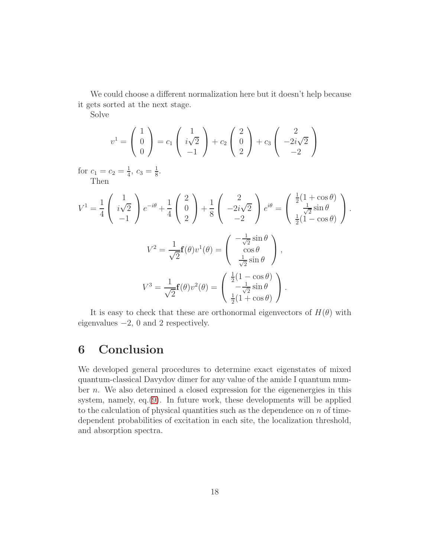We could choose a different normalization here but it doesn't help because it gets sorted at the next stage.

Solve

$$
v^{1} = \begin{pmatrix} 1 \\ 0 \\ 0 \end{pmatrix} = c_{1} \begin{pmatrix} 1 \\ i\sqrt{2} \\ -1 \end{pmatrix} + c_{2} \begin{pmatrix} 2 \\ 0 \\ 2 \end{pmatrix} + c_{3} \begin{pmatrix} 2 \\ -2i\sqrt{2} \\ -2 \end{pmatrix}
$$

for  $c_1 = c_2 = \frac{1}{4}$  $\frac{1}{4}$ ,  $c_3 = \frac{1}{8}$  $\frac{1}{8}$ . Then

$$
V^{1} = \frac{1}{4} \begin{pmatrix} 1 \\ i\sqrt{2} \\ -1 \end{pmatrix} e^{-i\theta} + \frac{1}{4} \begin{pmatrix} 2 \\ 0 \\ 2 \end{pmatrix} + \frac{1}{8} \begin{pmatrix} 2 \\ -2i\sqrt{2} \\ -2 \end{pmatrix} e^{i\theta} = \begin{pmatrix} \frac{1}{2}(1+\cos\theta) \\ \frac{1}{\sqrt{2}}\sin\theta \\ \frac{1}{2}(1-\cos\theta) \end{pmatrix}.
$$

$$
V^{2} = \frac{1}{\sqrt{2}} \mathbf{f}(\theta) v^{1}(\theta) = \begin{pmatrix} -\frac{1}{\sqrt{2}}\sin\theta \\ \cos\theta \\ \frac{1}{\sqrt{2}}\sin\theta \end{pmatrix},
$$

$$
V^{3} = \frac{1}{\sqrt{2}} \mathbf{f}(\theta) v^{2}(\theta) = \begin{pmatrix} \frac{1}{2}(1-\cos\theta) \\ -\frac{1}{\sqrt{2}}\sin\theta \\ \frac{1}{2}(1+\cos\theta) \end{pmatrix}.
$$

It is easy to check that these are orthonormal eigenvectors of  $H(\theta)$  with eigenvalues −2, 0 and 2 respectively.

## 6 Conclusion

We developed general procedures to determine exact eigenstates of mixed quantum-classical Davydov dimer for any value of the amide I quantum number  $n$ . We also determined a closed expression for the eigenenergies in this system, namely, eq.[\(9\)](#page-6-1). In future work, these developments will be applied to the calculation of physical quantities such as the dependence on  $n$  of timedependent probabilities of excitation in each site, the localization threshold, and absorption spectra.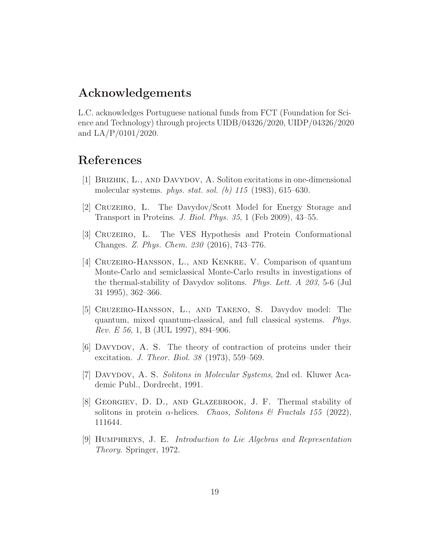### Acknowledgements

L.C. acknowledges Portuguese national funds from FCT (Foundation for Science and Technology) through projects UIDB/04326/2020, UIDP/04326/2020 and LA/P/0101/2020.

## <span id="page-18-2"></span>References

- <span id="page-18-4"></span>[1] Brizhik, L., and Davydov, A. Soliton excitations in one-dimensional molecular systems. phys. stat. sol. (b) 115 (1983), 615–630.
- <span id="page-18-5"></span>[2] Cruzeiro, L. The Davydov/Scott Model for Energy Storage and Transport in Proteins. J. Biol. Phys. 35, 1 (Feb 2009), 43–55.
- <span id="page-18-7"></span>[3] Cruzeiro, L. The VES Hypothesis and Protein Conformational Changes. Z. Phys. Chem. 230 (2016), 743–776.
- [4] Cruzeiro-Hansson, L., and Kenkre, V. Comparison of quantum Monte-Carlo and semiclassical Monte-Carlo results in investigations of the thermal-stability of Davydov solitons. Phys. Lett. A 203, 5-6 (Jul 31 1995), 362–366.
- <span id="page-18-3"></span>[5] Cruzeiro-Hansson, L., and Takeno, S. Davydov model: The quantum, mixed quantum-classical, and full classical systems. Phys. Rev. E 56, 1, B (JUL 1997), 894–906.
- <span id="page-18-1"></span><span id="page-18-0"></span>[6] Davydov, A. S. The theory of contraction of proteins under their excitation. J. Theor. Biol. 38 (1973), 559–569.
- [7] Davydov, A. S. Solitons in Molecular Systems, 2nd ed. Kluwer Academic Publ., Dordrecht, 1991.
- <span id="page-18-6"></span>[8] Georgiev, D. D., and Glazebrook, J. F. Thermal stability of solitons in protein  $\alpha$ -helices. *Chaos, Solitons & Fractals 155* (2022), 111644.
- <span id="page-18-8"></span>[9] Humphreys, J. E. Introduction to Lie Algebras and Representation Theory. Springer, 1972.